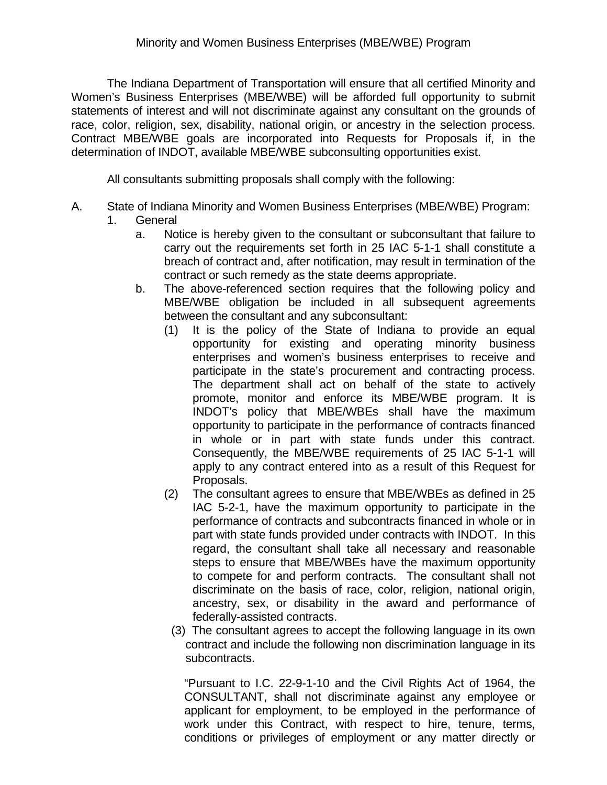The Indiana Department of Transportation will ensure that all certified Minority and Women's Business Enterprises (MBE/WBE) will be afforded full opportunity to submit statements of interest and will not discriminate against any consultant on the grounds of race, color, religion, sex, disability, national origin, or ancestry in the selection process. Contract MBE/WBE goals are incorporated into Requests for Proposals if, in the determination of INDOT, available MBE/WBE subconsulting opportunities exist.

All consultants submitting proposals shall comply with the following:

- A. State of Indiana Minority and Women Business Enterprises (MBE/WBE) Program:
	- 1. General
		- a. Notice is hereby given to the consultant or subconsultant that failure to carry out the requirements set forth in 25 IAC 5-1-1 shall constitute a breach of contract and, after notification, may result in termination of the contract or such remedy as the state deems appropriate.
		- b. The above-referenced section requires that the following policy and MBE/WBE obligation be included in all subsequent agreements between the consultant and any subconsultant:
			- (1) It is the policy of the State of Indiana to provide an equal opportunity for existing and operating minority business enterprises and women's business enterprises to receive and participate in the state's procurement and contracting process. The department shall act on behalf of the state to actively promote, monitor and enforce its MBE/WBE program. It is INDOT's policy that MBE/WBEs shall have the maximum opportunity to participate in the performance of contracts financed in whole or in part with state funds under this contract. Consequently, the MBE/WBE requirements of 25 IAC 5-1-1 will apply to any contract entered into as a result of this Request for Proposals.
			- (2) The consultant agrees to ensure that MBE/WBEs as defined in 25 IAC 5-2-1, have the maximum opportunity to participate in the performance of contracts and subcontracts financed in whole or in part with state funds provided under contracts with INDOT. In this regard, the consultant shall take all necessary and reasonable steps to ensure that MBE/WBEs have the maximum opportunity to compete for and perform contracts. The consultant shall not discriminate on the basis of race, color, religion, national origin, ancestry, sex, or disability in the award and performance of federally-assisted contracts.
				- (3) The consultant agrees to accept the following language in its own contract and include the following non discrimination language in its subcontracts.

 "Pursuant to I.C. 22-9-1-10 and the Civil Rights Act of 1964, the CONSULTANT, shall not discriminate against any employee or applicant for employment, to be employed in the performance of work under this Contract, with respect to hire, tenure, terms, conditions or privileges of employment or any matter directly or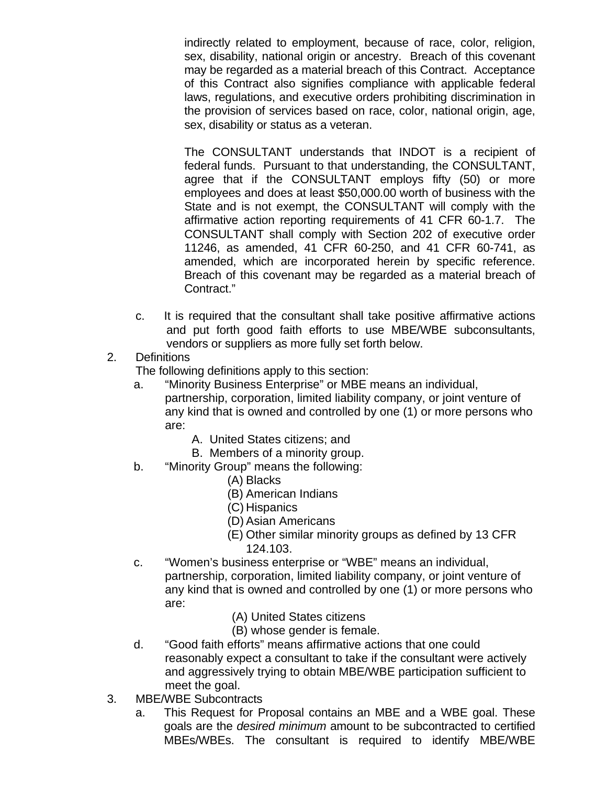indirectly related to employment, because of race, color, religion, sex, disability, national origin or ancestry. Breach of this covenant may be regarded as a material breach of this Contract. Acceptance of this Contract also signifies compliance with applicable federal laws, regulations, and executive orders prohibiting discrimination in the provision of services based on race, color, national origin, age, sex, disability or status as a veteran.

 The CONSULTANT understands that INDOT is a recipient of federal funds. Pursuant to that understanding, the CONSULTANT, agree that if the CONSULTANT employs fifty (50) or more employees and does at least \$50,000.00 worth of business with the State and is not exempt, the CONSULTANT will comply with the affirmative action reporting requirements of 41 CFR 60-1.7. The CONSULTANT shall comply with Section 202 of executive order 11246, as amended, 41 CFR 60-250, and 41 CFR 60-741, as amended, which are incorporated herein by specific reference. Breach of this covenant may be regarded as a material breach of Contract."

- c. It is required that the consultant shall take positive affirmative actions and put forth good faith efforts to use MBE/WBE subconsultants, vendors or suppliers as more fully set forth below.
- 2. Definitions

The following definitions apply to this section:

- a. "Minority Business Enterprise" or MBE means an individual, partnership, corporation, limited liability company, or joint venture of any kind that is owned and controlled by one (1) or more persons who are:
	- A. United States citizens; and
	- B. Members of a minority group.
- b. "Minority Group" means the following:
	- (A) Blacks
	- (B) American Indians
	- (C) Hispanics
	- (D) Asian Americans
	- (E) Other similar minority groups as defined by 13 CFR 124.103.
- c. "Women's business enterprise or "WBE" means an individual, partnership, corporation, limited liability company, or joint venture of any kind that is owned and controlled by one (1) or more persons who are:
	- (A) United States citizens
	- (B) whose gender is female.
- d. "Good faith efforts" means affirmative actions that one could reasonably expect a consultant to take if the consultant were actively and aggressively trying to obtain MBE/WBE participation sufficient to meet the goal.
- 3. MBE/WBE Subcontracts
	- a. This Request for Proposal contains an MBE and a WBE goal. These goals are the *desired minimum* amount to be subcontracted to certified MBEs/WBEs. The consultant is required to identify MBE/WBE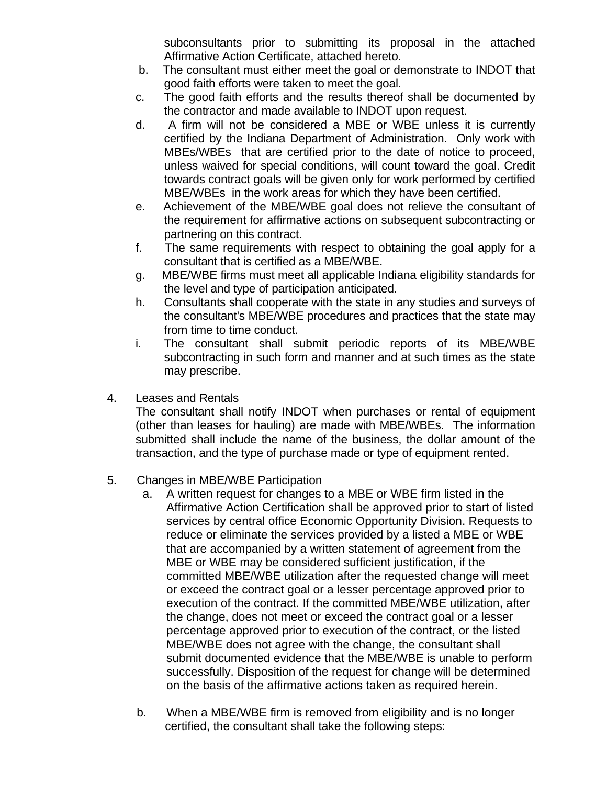subconsultants prior to submitting its proposal in the attached Affirmative Action Certificate, attached hereto.

- b. The consultant must either meet the goal or demonstrate to INDOT that good faith efforts were taken to meet the goal.
- c. The good faith efforts and the results thereof shall be documented by the contractor and made available to INDOT upon request.
- d. A firm will not be considered a MBE or WBE unless it is currently certified by the Indiana Department of Administration. Only work with MBEs/WBEs that are certified prior to the date of notice to proceed, unless waived for special conditions, will count toward the goal. Credit towards contract goals will be given only for work performed by certified MBE/WBEs in the work areas for which they have been certified.
- e. Achievement of the MBE/WBE goal does not relieve the consultant of the requirement for affirmative actions on subsequent subcontracting or partnering on this contract.
- f. The same requirements with respect to obtaining the goal apply for a consultant that is certified as a MBE/WBE.
- g. MBE/WBE firms must meet all applicable Indiana eligibility standards for the level and type of participation anticipated.
- h. Consultants shall cooperate with the state in any studies and surveys of the consultant's MBE/WBE procedures and practices that the state may from time to time conduct.
- i. The consultant shall submit periodic reports of its MBE/WBE subcontracting in such form and manner and at such times as the state may prescribe.
- 4. Leases and Rentals

 The consultant shall notify INDOT when purchases or rental of equipment (other than leases for hauling) are made with MBE/WBEs. The information submitted shall include the name of the business, the dollar amount of the transaction, and the type of purchase made or type of equipment rented.

- 5. Changes in MBE/WBE Participation
	- a. A written request for changes to a MBE or WBE firm listed in the Affirmative Action Certification shall be approved prior to start of listed services by central office Economic Opportunity Division. Requests to reduce or eliminate the services provided by a listed a MBE or WBE that are accompanied by a written statement of agreement from the MBE or WBE may be considered sufficient justification, if the committed MBE/WBE utilization after the requested change will meet or exceed the contract goal or a lesser percentage approved prior to execution of the contract. If the committed MBE/WBE utilization, after the change, does not meet or exceed the contract goal or a lesser percentage approved prior to execution of the contract, or the listed MBE/WBE does not agree with the change, the consultant shall submit documented evidence that the MBE/WBE is unable to perform successfully. Disposition of the request for change will be determined on the basis of the affirmative actions taken as required herein.
	- b. When a MBE/WBE firm is removed from eligibility and is no longer certified, the consultant shall take the following steps: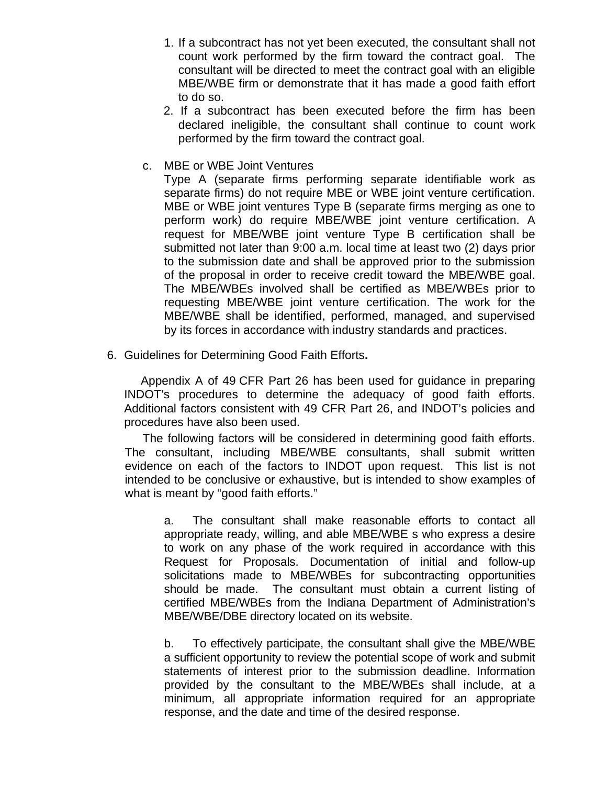- 1. If a subcontract has not yet been executed, the consultant shall not count work performed by the firm toward the contract goal. The consultant will be directed to meet the contract goal with an eligible MBE/WBE firm or demonstrate that it has made a good faith effort to do so.
- 2. If a subcontract has been executed before the firm has been declared ineligible, the consultant shall continue to count work performed by the firm toward the contract goal.
- c. MBE or WBE Joint Ventures

 Type A (separate firms performing separate identifiable work as separate firms) do not require MBE or WBE joint venture certification. MBE or WBE joint ventures Type B (separate firms merging as one to perform work) do require MBE/WBE joint venture certification. A request for MBE/WBE joint venture Type B certification shall be submitted not later than 9:00 a.m. local time at least two (2) days prior to the submission date and shall be approved prior to the submission of the proposal in order to receive credit toward the MBE/WBE goal. The MBE/WBEs involved shall be certified as MBE/WBEs prior to requesting MBE/WBE joint venture certification. The work for the MBE/WBE shall be identified, performed, managed, and supervised by its forces in accordance with industry standards and practices.

6. Guidelines for Determining Good Faith Efforts**.**

 Appendix A of 49 CFR Part 26 has been used for guidance in preparing INDOT's procedures to determine the adequacy of good faith efforts. Additional factors consistent with 49 CFR Part 26, and INDOT's policies and procedures have also been used.

 The following factors will be considered in determining good faith efforts. The consultant, including MBE/WBE consultants, shall submit written evidence on each of the factors to INDOT upon request. This list is not intended to be conclusive or exhaustive, but is intended to show examples of what is meant by "good faith efforts."

a. The consultant shall make reasonable efforts to contact all appropriate ready, willing, and able MBE/WBE s who express a desire to work on any phase of the work required in accordance with this Request for Proposals. Documentation of initial and follow-up solicitations made to MBE/WBEs for subcontracting opportunities should be made. The consultant must obtain a current listing of certified MBE/WBEs from the Indiana Department of Administration's MBE/WBE/DBE directory located on its website.

 b. To effectively participate, the consultant shall give the MBE/WBE a sufficient opportunity to review the potential scope of work and submit statements of interest prior to the submission deadline. Information provided by the consultant to the MBE/WBEs shall include, at a minimum, all appropriate information required for an appropriate response, and the date and time of the desired response.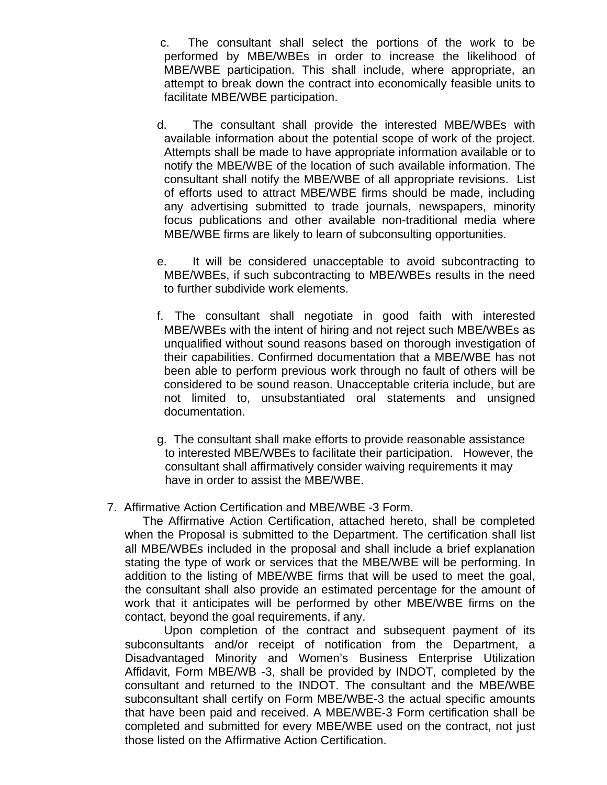c. The consultant shall select the portions of the work to be performed by MBE/WBEs in order to increase the likelihood of MBE/WBE participation. This shall include, where appropriate, an attempt to break down the contract into economically feasible units to facilitate MBE/WBE participation.

- d. The consultant shall provide the interested MBE/WBEs with available information about the potential scope of work of the project. Attempts shall be made to have appropriate information available or to notify the MBE/WBE of the location of such available information. The consultant shall notify the MBE/WBE of all appropriate revisions. List of efforts used to attract MBE/WBE firms should be made, including any advertising submitted to trade journals, newspapers, minority focus publications and other available non-traditional media where MBE/WBE firms are likely to learn of subconsulting opportunities.
- e. It will be considered unacceptable to avoid subcontracting to MBE/WBEs, if such subcontracting to MBE/WBEs results in the need to further subdivide work elements.
- f. The consultant shall negotiate in good faith with interested MBE/WBEs with the intent of hiring and not reject such MBE/WBEs as unqualified without sound reasons based on thorough investigation of their capabilities. Confirmed documentation that a MBE/WBE has not been able to perform previous work through no fault of others will be considered to be sound reason. Unacceptable criteria include, but are not limited to, unsubstantiated oral statements and unsigned documentation.
- g. The consultant shall make efforts to provide reasonable assistance to interested MBE/WBEs to facilitate their participation. However, the consultant shall affirmatively consider waiving requirements it may have in order to assist the MBE/WBE.
- 7. Affirmative Action Certification and MBE/WBE -3 Form.

 The Affirmative Action Certification, attached hereto, shall be completed when the Proposal is submitted to the Department. The certification shall list all MBE/WBEs included in the proposal and shall include a brief explanation stating the type of work or services that the MBE/WBE will be performing. In addition to the listing of MBE/WBE firms that will be used to meet the goal, the consultant shall also provide an estimated percentage for the amount of work that it anticipates will be performed by other MBE/WBE firms on the contact, beyond the goal requirements, if any.

 Upon completion of the contract and subsequent payment of its subconsultants and/or receipt of notification from the Department, a Disadvantaged Minority and Women's Business Enterprise Utilization Affidavit, Form MBE/WB -3, shall be provided by INDOT, completed by the consultant and returned to the INDOT. The consultant and the MBE/WBE subconsultant shall certify on Form MBE/WBE-3 the actual specific amounts that have been paid and received. A MBE/WBE-3 Form certification shall be completed and submitted for every MBE/WBE used on the contract, not just those listed on the Affirmative Action Certification.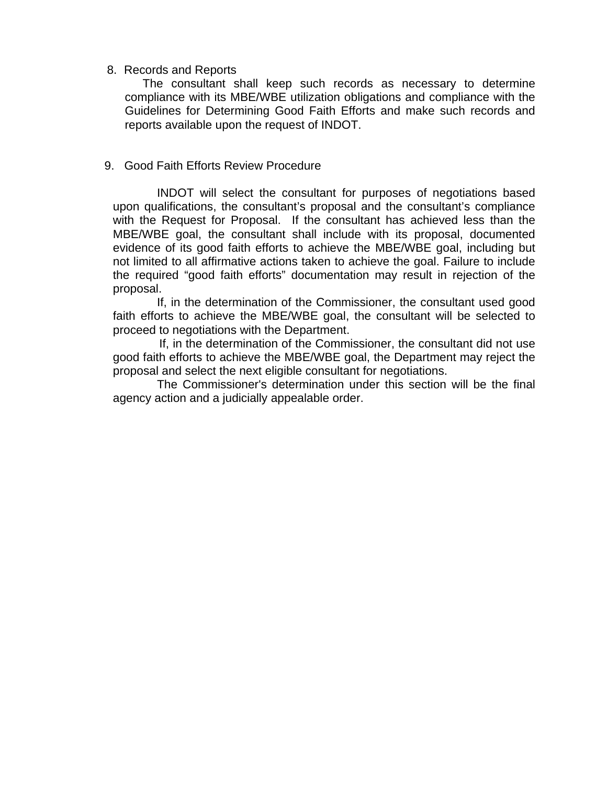## 8. Records and Reports

 The consultant shall keep such records as necessary to determine compliance with its MBE/WBE utilization obligations and compliance with the Guidelines for Determining Good Faith Efforts and make such records and reports available upon the request of INDOT.

## 9. Good Faith Efforts Review Procedure

 INDOT will select the consultant for purposes of negotiations based upon qualifications, the consultant's proposal and the consultant's compliance with the Request for Proposal. If the consultant has achieved less than the MBE/WBE goal, the consultant shall include with its proposal, documented evidence of its good faith efforts to achieve the MBE/WBE goal, including but not limited to all affirmative actions taken to achieve the goal. Failure to include the required "good faith efforts" documentation may result in rejection of the proposal.

 If, in the determination of the Commissioner, the consultant used good faith efforts to achieve the MBE/WBE goal, the consultant will be selected to proceed to negotiations with the Department.

 If, in the determination of the Commissioner, the consultant did not use good faith efforts to achieve the MBE/WBE goal, the Department may reject the proposal and select the next eligible consultant for negotiations.

 The Commissioner's determination under this section will be the final agency action and a judicially appealable order.